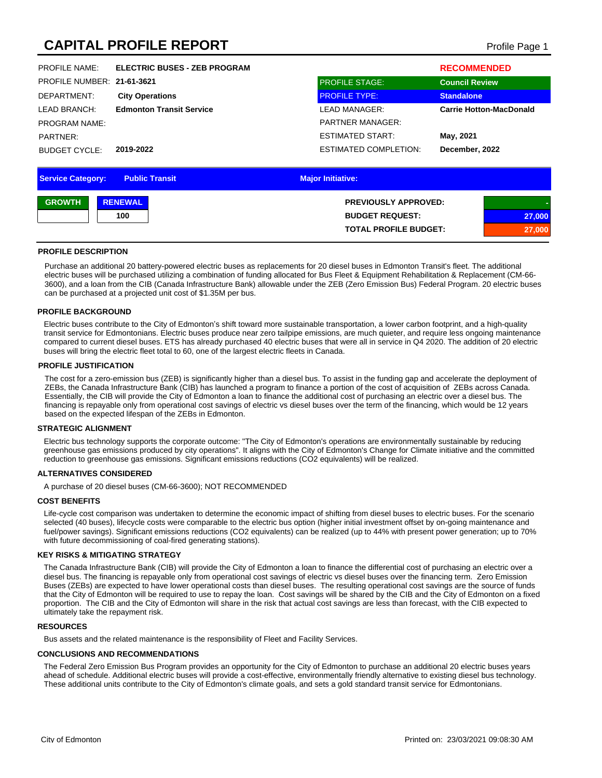# **CAPITAL PROFILE REPORT CAPITAL PROFILE REPORT**

| <b>Service Category:</b>   | <b>Public Transit</b>               | <b>Major Initiative:</b>     |                                |
|----------------------------|-------------------------------------|------------------------------|--------------------------------|
|                            |                                     |                              |                                |
| <b>BUDGET CYCLE:</b>       | 2019-2022                           | <b>ESTIMATED COMPLETION:</b> | December, 2022                 |
| PARTNER:                   |                                     | ESTIMATED START:             | May, 2021                      |
| <b>PROGRAM NAME:</b>       |                                     | <b>PARTNER MANAGER:</b>      |                                |
| LEAD BRANCH:               | <b>Edmonton Transit Service</b>     | <b>LEAD MANAGER:</b>         | <b>Carrie Hotton-MacDonald</b> |
| DEPARTMENT:                | <b>City Operations</b>              | <b>PROFILE TYPE:</b>         | <b>Standalone</b>              |
| PROFILE NUMBER: 21-61-3621 |                                     | <b>PROFILE STAGE:</b>        | <b>Council Review</b>          |
| <b>PROFILE NAME:</b>       | <b>ELECTRIC BUSES - ZEB PROGRAM</b> |                              | <b>RECOMMENDED</b>             |
|                            |                                     |                              |                                |

| <b>GROWTH</b> | <b>RENEWAL</b> | <b>PREVIOUSLY APPROVED:</b>  |        |
|---------------|----------------|------------------------------|--------|
|               | 100            | <b>BUDGET REQUEST:</b>       | 27,000 |
|               |                | <b>TOTAL PROFILE BUDGET:</b> | ,000   |

#### **PROFILE DESCRIPTION**

Purchase an additional 20 battery-powered electric buses as replacements for 20 diesel buses in Edmonton Transit's fleet. The additional electric buses will be purchased utilizing a combination of funding allocated for Bus Fleet & Equipment Rehabilitation & Replacement (CM-66- 3600), and a loan from the CIB (Canada Infrastructure Bank) allowable under the ZEB (Zero Emission Bus) Federal Program. 20 electric buses can be purchased at a projected unit cost of \$1.35M per bus.

#### **PROFILE BACKGROUND**

Electric buses contribute to the City of Edmonton's shift toward more sustainable transportation, a lower carbon footprint, and a high-quality transit service for Edmontonians. Electric buses produce near zero tailpipe emissions, are much quieter, and require less ongoing maintenance compared to current diesel buses. ETS has already purchased 40 electric buses that were all in service in Q4 2020. The addition of 20 electric buses will bring the electric fleet total to 60, one of the largest electric fleets in Canada.

#### **PROFILE JUSTIFICATION**

The cost for a zero-emission bus (ZEB) is significantly higher than a diesel bus. To assist in the funding gap and accelerate the deployment of ZEBs, the Canada Infrastructure Bank (CIB) has launched a program to finance a portion of the cost of acquisition of ZEBs across Canada. Essentially, the CIB will provide the City of Edmonton a loan to finance the additional cost of purchasing an electric over a diesel bus. The financing is repayable only from operational cost savings of electric vs diesel buses over the term of the financing, which would be 12 years based on the expected lifespan of the ZEBs in Edmonton.

#### **STRATEGIC ALIGNMENT**

Electric bus technology supports the corporate outcome: "The City of Edmonton's operations are environmentally sustainable by reducing greenhouse gas emissions produced by city operations". It aligns with the City of Edmonton's Change for Climate initiative and the committed reduction to greenhouse gas emissions. Significant emissions reductions (CO2 equivalents) will be realized.

#### **ALTERNATIVES CONSIDERED**

A purchase of 20 diesel buses (CM-66-3600); NOT RECOMMENDED

#### **COST BENEFITS**

Life-cycle cost comparison was undertaken to determine the economic impact of shifting from diesel buses to electric buses. For the scenario selected (40 buses), lifecycle costs were comparable to the electric bus option (higher initial investment offset by on-going maintenance and fuel/power savings). Significant emissions reductions (CO2 equivalents) can be realized (up to 44% with present power generation; up to 70% with future decommissioning of coal-fired generating stations).

### **KEY RISKS & MITIGATING STRATEGY**

The Canada Infrastructure Bank (CIB) will provide the City of Edmonton a loan to finance the differential cost of purchasing an electric over a diesel bus. The financing is repayable only from operational cost savings of electric vs diesel buses over the financing term. Zero Emission Buses (ZEBs) are expected to have lower operational costs than diesel buses. The resulting operational cost savings are the source of funds that the City of Edmonton will be required to use to repay the loan. Cost savings will be shared by the CIB and the City of Edmonton on a fixed proportion. The CIB and the City of Edmonton will share in the risk that actual cost savings are less than forecast, with the CIB expected to ultimately take the repayment risk.

#### **RESOURCES**

Bus assets and the related maintenance is the responsibility of Fleet and Facility Services.

#### **CONCLUSIONS AND RECOMMENDATIONS**

The Federal Zero Emission Bus Program provides an opportunity for the City of Edmonton to purchase an additional 20 electric buses years ahead of schedule. Additional electric buses will provide a cost-effective, environmentally friendly alternative to existing diesel bus technology. These additional units contribute to the City of Edmonton's climate goals, and sets a gold standard transit service for Edmontonians.